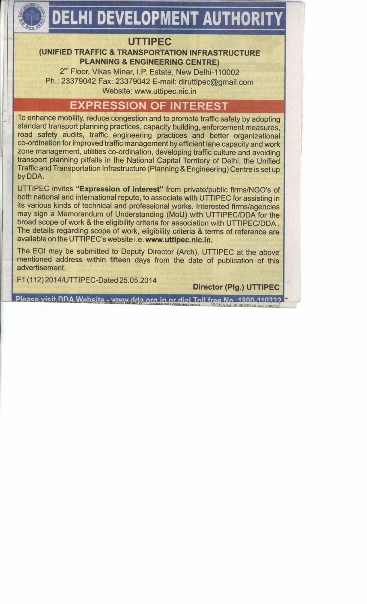# **DELHI DEVELOPMENT AUTHORITY**

## **UTTIPEC**

### (UNIFIED TRAFFIC & TRANSPORTATION INFRASTRUCTURE **PLANNING & ENGINEERING CENTRE)**

2<sup>nd</sup> Floor, Vikas Minar, I.P. Estate, New Delhi-110002 Ph.: 23379042 Fax: 23379042 E-mail: diruttipec@gmail.com Website: www.uttipec.nic.in

## **EXPRESSION OF INTEREST**

To enhance mobility, reduce congestion and to promote traffic safety by adopting standard transport planning practices, capacity building, enforcement measures, road safety audits, traffic engineering practices and better organizational co-ordination for improved traffic management by efficient lane capacity and work zone management, utilities co-ordination, developing traffic culture and avoiding transport planning pitfalls in the National Capital Territory of Delhi, the Unified Traffic and Transportation Infrastructure (Planning & Engineering) Centre is set up by DDA.

UTTIPEC invites "Expression of Interest" from private/public firms/NGO's of both national and international repute, to associate with UTTIPEC for assisting in its various kinds of technical and professional works. Interested firms/agencies may sign a Memorandum of Understanding (MoU) with UTTIPEC/DDA for the broad scope of work & the eligibility criteria for association with UTTIPEC/DDA. The details regarding scope of work, eligibility criteria & terms of reference are available on the UTTIPEC's website i.e. www.uttipec.nic.in.

The EOI may be submitted to Deputy Director (Arch), UTTIPEC at the above mentioned address within fifteen days from the date of publication of this advertisement

F1 (112) 2014/UTTIPEC-Dated 25.05.2014

**Director (Plg.) UTTIPEC** 

Plaase visit DDA Website - www.dda org in or dial Toll free No. 1800-110332